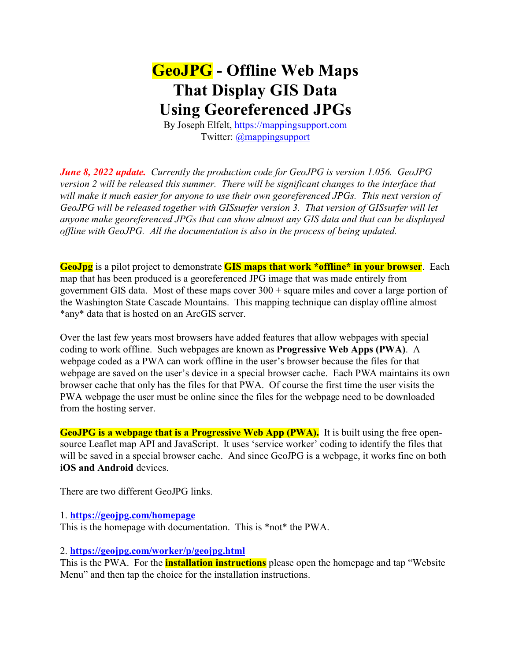## **GeoJPG - Offline Web Maps That Display GIS Data Using Georeferenced JPGs**

By Joseph Elfelt,<https://mappingsupport.com> Twitter: [@mappingsupport](https://twitter.com/MappingSupport?lang=en)

*June 8, 2022 update. Currently the production code for GeoJPG is version 1.056. GeoJPG version 2 will be released this summer. There will be significant changes to the interface that will make it much easier for anyone to use their own georeferenced JPGs. This next version of GeoJPG will be released together with GISsurfer version 3. That version of GISsurfer will let anyone make georeferenced JPGs that can show almost any GIS data and that can be displayed offline with GeoJPG. All the documentation is also in the process of being updated.*

**GeoJpg** is a pilot project to demonstrate **GIS maps that work \*offline\* in your browser**. Each map that has been produced is a georeferenced JPG image that was made entirely from government GIS data. Most of these maps cover 300 + square miles and cover a large portion of the Washington State Cascade Mountains. This mapping technique can display offline almost \*any\* data that is hosted on an ArcGIS server.

Over the last few years most browsers have added features that allow webpages with special coding to work offline. Such webpages are known as **Progressive Web Apps (PWA)**. A webpage coded as a PWA can work offline in the user's browser because the files for that webpage are saved on the user's device in a special browser cache. Each PWA maintains its own browser cache that only has the files for that PWA. Of course the first time the user visits the PWA webpage the user must be online since the files for the webpage need to be downloaded from the hosting server.

**GeoJPG is a webpage that is a Progressive Web App (PWA).** It is built using the free opensource Leaflet map API and JavaScript. It uses 'service worker' coding to identify the files that will be saved in a special browser cache. And since GeoJPG is a webpage, it works fine on both **iOS and Android** devices.

There are two different GeoJPG links.

1. **<https://geojpg.com/homepage>**

This is the homepage with documentation. This is \*not\* the PWA.

## 2. **<https://geojpg.com/worker/p/geojpg.html>**

This is the PWA. For the **installation instructions** please open the homepage and tap "Website Menu" and then tap the choice for the installation instructions.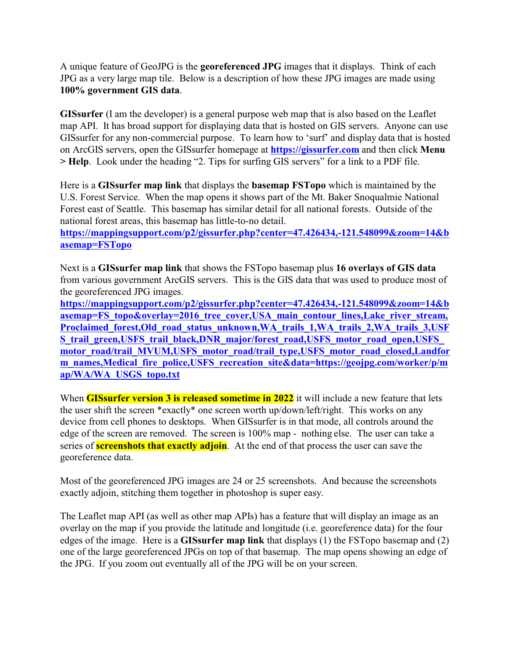A unique feature of GeoJPG is the **georeferenced JPG** images that it displays. Think of each JPG as a very large map tile. Below is a description of how these JPG images are made using **100% government GIS data**.

**GISsurfer** (I am the developer) is a general purpose web map that is also based on the Leaflet map API. It has broad support for displaying data that is hosted on GIS servers. Anyone can use GISsurfer for any non-commercial purpose. To learn how to 'surf' and display data that is hosted on ArcGIS servers, open the GISsurfer homepage at **<https://gissurfer.com>** and then click **Menu > Help**. Look under the heading "2. Tips for surfing GIS servers" for a link to a PDF file.

Here is a **GISsurfer map link** that displays the **basemap FSTopo** which is maintained by the U.S. Forest Service. When the map opens it shows part of the Mt. Baker Snoqualmie National Forest east of Seattle. This basemap has similar detail for all national forests. Outside of the national forest areas, this basemap has little-to-no detail.

**[https://mappingsupport.com/p2/gissurfer.php?center=47.426434,-121.548099&zoom=14&b](https://mappingsupport.com/p2/gissurfer.php?center=47.426434,-121.548099&zoom=14&basemap=FSTopo) [asemap=FSTopo](https://mappingsupport.com/p2/gissurfer.php?center=47.426434,-121.548099&zoom=14&basemap=FSTopo)**

Next is a **GISsurfer map link** that shows the FSTopo basemap plus **16 overlays of GIS data** from various government ArcGIS servers. This is the GIS data that was used to produce most of the georeferenced JPG images.

**[https://mappingsupport.com/p2/gissurfer.php?center=47.426434,-121.548099&zoom=14&b](file:///|//https///mappingsupport.com/p2/gissurfer.php?center=47.426434,-121.548099&zoom=14&basemap=FS_topo&overlay=2016_tree_cover,USA_main_contour_lines,Lake_river_stream,Proclaimed_forest,Old_road_status_unknown,WA_trails_1,WA_trails_2,WA_trails_3,USFS_trail_green,US) asemap=FS** topo&overlay=2016 tree\_cover,USA\_main\_contour\_lines,Lake\_river\_stream, Proclaimed forest, Old road status unknown, WA trails 1, WA trails 2, WA trails 3, USF **[S\\_trail\\_green,USFS\\_trail\\_black,DNR\\_major/forest\\_road,USFS\\_motor\\_road\\_open,USFS\\_](file:///|//https///mappingsupport.com/p2/gissurfer.php?center=47.426434,-121.548099&zoom=14&basemap=FS_topo&overlay=2016_tree_cover,USA_main_contour_lines,Lake_river_stream,Proclaimed_forest,Old_road_status_unknown,WA_trails_1,WA_trails_2,WA_trails_3,USFS_trail_green,US)** [motor\\_road/trail\\_MVUM,USFS\\_motor\\_road/trail\\_type,USFS\\_motor\\_road\\_closed,Landfor](file:///|//https///mappingsupport.com/p2/gissurfer.php?center=47.426434,-121.548099&zoom=14&basemap=FS_topo&overlay=2016_tree_cover,USA_main_contour_lines,Lake_river_stream,Proclaimed_forest,Old_road_status_unknown,WA_trails_1,WA_trails_2,WA_trails_3,USFS_trail_green,US) **[m\\_names,Medical\\_fire\\_police,USFS\\_recreation\\_site&data=https://geojpg.com/worker/p/m](file:///|//https///mappingsupport.com/p2/gissurfer.php?center=47.426434,-121.548099&zoom=14&basemap=FS_topo&overlay=2016_tree_cover,USA_main_contour_lines,Lake_river_stream,Proclaimed_forest,Old_road_status_unknown,WA_trails_1,WA_trails_2,WA_trails_3,USFS_trail_green,US) [ap/WA/WA\\_USGS\\_topo.txt](file:///|//https///mappingsupport.com/p2/gissurfer.php?center=47.426434,-121.548099&zoom=14&basemap=FS_topo&overlay=2016_tree_cover,USA_main_contour_lines,Lake_river_stream,Proclaimed_forest,Old_road_status_unknown,WA_trails_1,WA_trails_2,WA_trails_3,USFS_trail_green,US)**

When **GISsurfer version 3 is released sometime in 2022** it will include a new feature that lets the user shift the screen \*exactly\* one screen worth up/down/left/right. This works on any device from cell phones to desktops. When GISsurfer is in that mode, all controls around the edge of the screen are removed. The screen is 100% map - nothing else. The user can take a series of **screenshots that exactly adjoin**. At the end of that process the user can save the georeference data.

Most of the georeferenced JPG images are 24 or 25 screenshots. And because the screenshots exactly adjoin, stitching them together in photoshop is super easy.

The Leaflet map API (as well as other map APIs) has a feature that will display an image as an overlay on the map if you provide the latitude and longitude (i.e. georeference data) for the four edges of the image. Here is a **GISsurfer map link** that displays (1) the FSTopo basemap and (2) one of the large georeferenced JPGs on top of that basemap. The map opens showing an edge of the JPG. If you zoom out eventually all of the JPG will be on your screen.